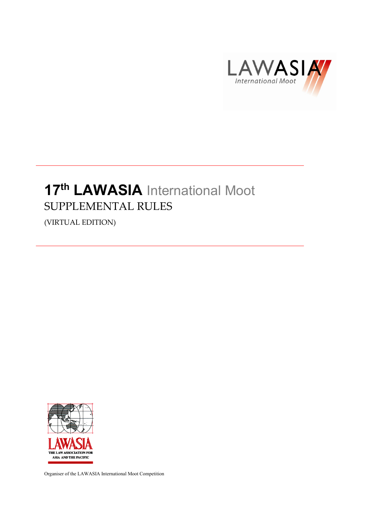

# 17<sup>th</sup> LAWASIA International Moot SUPPLEMENTAL RULES

(VIRTUAL EDITION)



Organiser of the LAWASIA International Moot Competition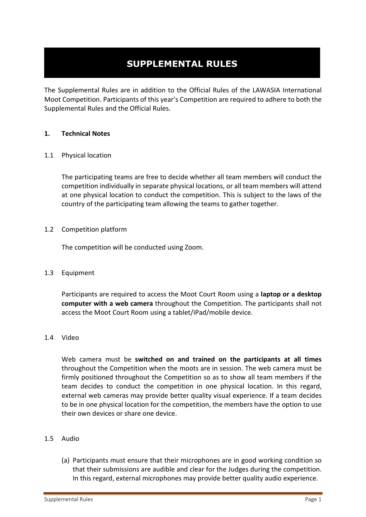# **SUPPLEMENTAL RULES**

The Supplemental Rules are in addition to the Official Rules of the LAWASIA International Moot Competition. Participants of this year's Competition are required to adhere to both the Supplemental Rules and the Official Rules.

### **1. Technical Notes**

### 1.1 Physical location

The participating teams are free to decide whether all team members will conduct the competition individually in separate physical locations, or all team members will attend at one physical location to conduct the competition. This is subject to the laws of the country of the participating team allowing the teams to gather together.

# 1.2 Competition platform

The competition will be conducted using Zoom.

### 1.3 Equipment

Participants are required to access the Moot Court Room using a **laptop or a desktop computer with a web camera** throughout the Competition. The participants shall not access the Moot Court Room using a tablet/iPad/mobile device.

### 1.4 Video

Web camera must be **switched on and trained on the participants at all times** throughout the Competition when the moots are in session. The web camera must be firmly positioned throughout the Competition so as to show all team members if the team decides to conduct the competition in one physical location. In this regard, external web cameras may provide better quality visual experience. If a team decides to be in one physical location for the competition, the members have the option to use their own devices or share one device.

### 1.5 Audio

(a) Participants must ensure that their microphones are in good working condition so that their submissions are audible and clear for the Judges during the competition. In this regard, external microphones may provide better quality audio experience.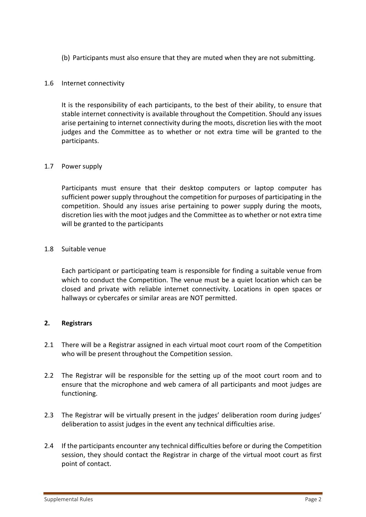(b) Participants must also ensure that they are muted when they are not submitting.

# 1.6 Internet connectivity

It is the responsibility of each participants, to the best of their ability, to ensure that stable internet connectivity is available throughout the Competition. Should any issues arise pertaining to internet connectivity during the moots, discretion lies with the moot judges and the Committee as to whether or not extra time will be granted to the participants.

# 1.7 Power supply

Participants must ensure that their desktop computers or laptop computer has sufficient power supply throughout the competition for purposes of participating in the competition. Should any issues arise pertaining to power supply during the moots, discretion lies with the moot judges and the Committee as to whether or not extra time will be granted to the participants

# 1.8 Suitable venue

Each participant or participating team is responsible for finding a suitable venue from which to conduct the Competition. The venue must be a quiet location which can be closed and private with reliable internet connectivity. Locations in open spaces or hallways or cybercafes or similar areas are NOT permitted.

### **2. Registrars**

- 2.1 There will be a Registrar assigned in each virtual moot court room of the Competition who will be present throughout the Competition session.
- 2.2 The Registrar will be responsible for the setting up of the moot court room and to ensure that the microphone and web camera of all participants and moot judges are functioning.
- 2.3 The Registrar will be virtually present in the judges' deliberation room during judges' deliberation to assist judges in the event any technical difficulties arise.
- 2.4 If the participants encounter any technical difficulties before or during the Competition session, they should contact the Registrar in charge of the virtual moot court as first point of contact.